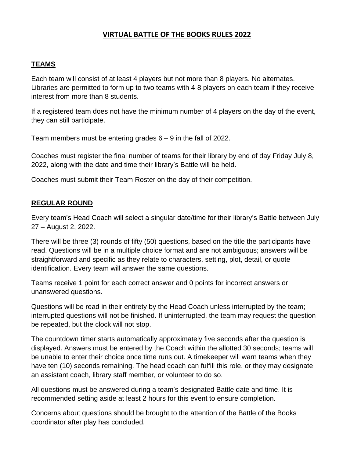# **VIRTUAL BATTLE OF THE BOOKS RULES 2022**

#### **TEAMS**

Each team will consist of at least 4 players but not more than 8 players. No alternates. Libraries are permitted to form up to two teams with 4-8 players on each team if they receive interest from more than 8 students.

If a registered team does not have the minimum number of 4 players on the day of the event, they can still participate.

Team members must be entering grades 6 – 9 in the fall of 2022.

Coaches must register the final number of teams for their library by end of day Friday July 8, 2022, along with the date and time their library's Battle will be held.

Coaches must submit their Team Roster on the day of their competition.

### **REGULAR ROUND**

Every team's Head Coach will select a singular date/time for their library's Battle between July 27 – August 2, 2022.

There will be three (3) rounds of fifty (50) questions, based on the title the participants have read. Questions will be in a multiple choice format and are not ambiguous; answers will be straightforward and specific as they relate to characters, setting, plot, detail, or quote identification. Every team will answer the same questions.

Teams receive 1 point for each correct answer and 0 points for incorrect answers or unanswered questions.

Questions will be read in their entirety by the Head Coach unless interrupted by the team; interrupted questions will not be finished. If uninterrupted, the team may request the question be repeated, but the clock will not stop.

The countdown timer starts automatically approximately five seconds after the question is displayed. Answers must be entered by the Coach within the allotted 30 seconds; teams will be unable to enter their choice once time runs out. A timekeeper will warn teams when they have ten (10) seconds remaining. The head coach can fulfill this role, or they may designate an assistant coach, library staff member, or volunteer to do so.

All questions must be answered during a team's designated Battle date and time. It is recommended setting aside at least 2 hours for this event to ensure completion.

Concerns about questions should be brought to the attention of the Battle of the Books coordinator after play has concluded.